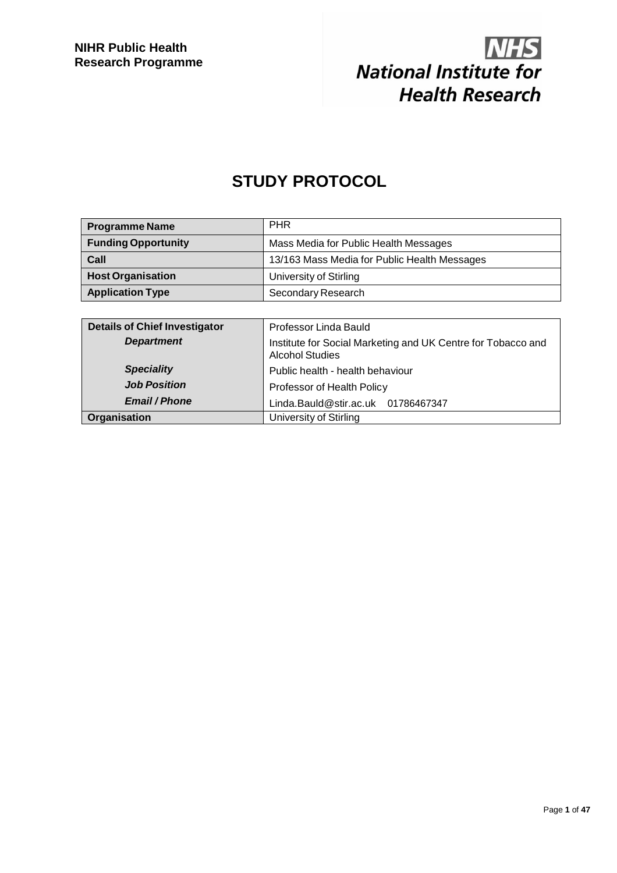# **NHS**<br>National Institute for **Health Research**

## **STUDY PROTOCOL**

| <b>Programme Name</b>      | <b>PHR</b>                                   |
|----------------------------|----------------------------------------------|
| <b>Funding Opportunity</b> | Mass Media for Public Health Messages        |
| Call                       | 13/163 Mass Media for Public Health Messages |
| <b>Host Organisation</b>   | University of Stirling                       |
| <b>Application Type</b>    | Secondary Research                           |

| <b>Details of Chief Investigator</b> | Professor Linda Bauld                                                                  |  |  |  |
|--------------------------------------|----------------------------------------------------------------------------------------|--|--|--|
| <b>Department</b>                    | Institute for Social Marketing and UK Centre for Tobacco and<br><b>Alcohol Studies</b> |  |  |  |
| <b>Speciality</b>                    | Public health - health behaviour                                                       |  |  |  |
| <b>Job Position</b>                  | Professor of Health Policy                                                             |  |  |  |
| <b>Email / Phone</b>                 | Linda.Bauld@stir.ac.uk 01786467347                                                     |  |  |  |
| Organisation                         | University of Stirling                                                                 |  |  |  |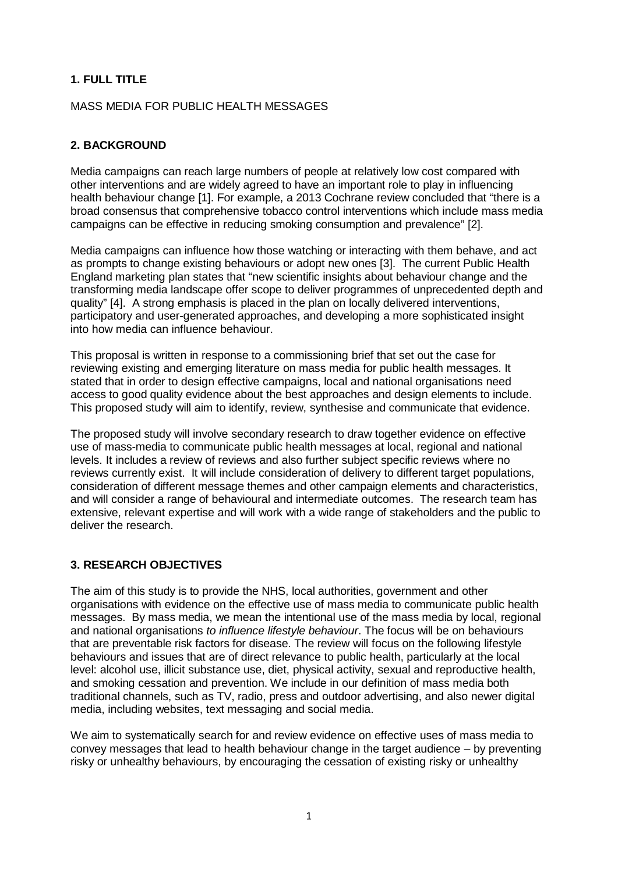## **1. FULL TITLE**

## MASS MEDIA FOR PUBLIC HEALTH MESSAGES

## **2. BACKGROUND**

Media campaigns can reach large numbers of people at relatively low cost compared with other interventions and are widely agreed to have an important role to play in influencing health behaviour change [1]. For example, a 2013 Cochrane review concluded that "there is a broad consensus that comprehensive tobacco control interventions which include mass media campaigns can be effective in reducing smoking consumption and prevalence" [2].

Media campaigns can influence how those watching or interacting with them behave, and act as prompts to change existing behaviours or adopt new ones [3]. The current Public Health England marketing plan states that "new scientific insights about behaviour change and the transforming media landscape offer scope to deliver programmes of unprecedented depth and quality" [4]. A strong emphasis is placed in the plan on locally delivered interventions, participatory and user-generated approaches, and developing a more sophisticated insight into how media can influence behaviour.

This proposal is written in response to a commissioning brief that set out the case for reviewing existing and emerging literature on mass media for public health messages. It stated that in order to design effective campaigns, local and national organisations need access to good quality evidence about the best approaches and design elements to include. This proposed study will aim to identify, review, synthesise and communicate that evidence.

The proposed study will involve secondary research to draw together evidence on effective use of mass-media to communicate public health messages at local, regional and national levels. It includes a review of reviews and also further subject specific reviews where no reviews currently exist. It will include consideration of delivery to different target populations, consideration of different message themes and other campaign elements and characteristics, and will consider a range of behavioural and intermediate outcomes. The research team has extensive, relevant expertise and will work with a wide range of stakeholders and the public to deliver the research.

## **3. RESEARCH OBJECTIVES**

The aim of this study is to provide the NHS, local authorities, government and other organisations with evidence on the effective use of mass media to communicate public health messages. By mass media, we mean the intentional use of the mass media by local, regional and national organisations *to influence lifestyle behaviour*. The focus will be on behaviours that are preventable risk factors for disease. The review will focus on the following lifestyle behaviours and issues that are of direct relevance to public health, particularly at the local level: alcohol use, illicit substance use, diet, physical activity, sexual and reproductive health, and smoking cessation and prevention. We include in our definition of mass media both traditional channels, such as TV, radio, press and outdoor advertising, and also newer digital media, including websites, text messaging and social media.

We aim to systematically search for and review evidence on effective uses of mass media to convey messages that lead to health behaviour change in the target audience – by preventing risky or unhealthy behaviours, by encouraging the cessation of existing risky or unhealthy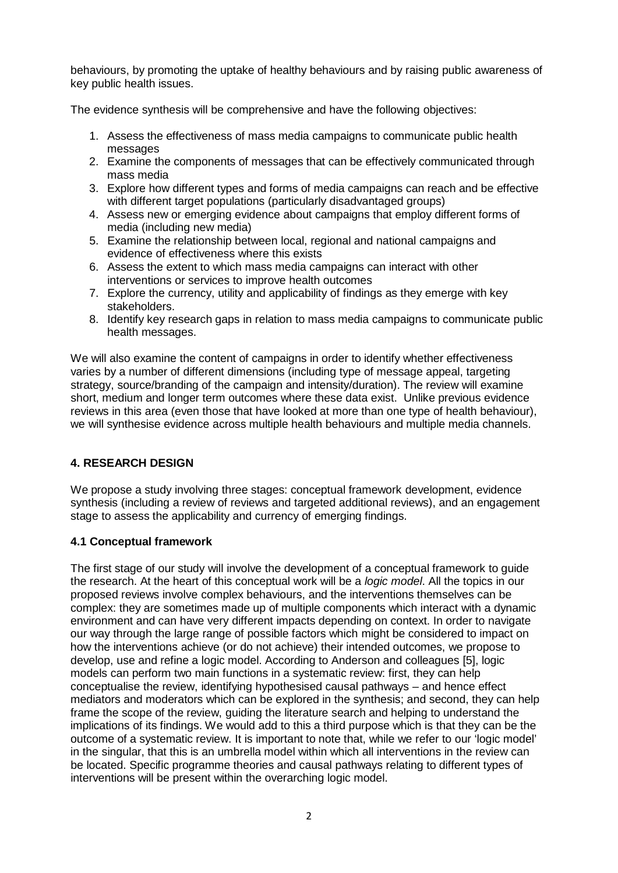behaviours, by promoting the uptake of healthy behaviours and by raising public awareness of key public health issues.

The evidence synthesis will be comprehensive and have the following objectives:

- 1. Assess the effectiveness of mass media campaigns to communicate public health messages
- 2. Examine the components of messages that can be effectively communicated through mass media
- 3. Explore how different types and forms of media campaigns can reach and be effective with different target populations (particularly disadvantaged groups)
- 4. Assess new or emerging evidence about campaigns that employ different forms of media (including new media)
- 5. Examine the relationship between local, regional and national campaigns and evidence of effectiveness where this exists
- 6. Assess the extent to which mass media campaigns can interact with other interventions or services to improve health outcomes
- 7. Explore the currency, utility and applicability of findings as they emerge with key stakeholders.
- 8. Identify key research gaps in relation to mass media campaigns to communicate public health messages.

We will also examine the content of campaigns in order to identify whether effectiveness varies by a number of different dimensions (including type of message appeal, targeting strategy, source/branding of the campaign and intensity/duration). The review will examine short, medium and longer term outcomes where these data exist. Unlike previous evidence reviews in this area (even those that have looked at more than one type of health behaviour), we will synthesise evidence across multiple health behaviours and multiple media channels.

## **4. RESEARCH DESIGN**

We propose a study involving three stages: conceptual framework development, evidence synthesis (including a review of reviews and targeted additional reviews), and an engagement stage to assess the applicability and currency of emerging findings.

## **4.1 Conceptual framework**

The first stage of our study will involve the development of a conceptual framework to guide the research. At the heart of this conceptual work will be a *logic model*. All the topics in our proposed reviews involve complex behaviours, and the interventions themselves can be complex: they are sometimes made up of multiple components which interact with a dynamic environment and can have very different impacts depending on context. In order to navigate our way through the large range of possible factors which might be considered to impact on how the interventions achieve (or do not achieve) their intended outcomes, we propose to develop, use and refine a logic model. According to Anderson and colleagues [5], logic models can perform two main functions in a systematic review: first, they can help conceptualise the review, identifying hypothesised causal pathways – and hence effect mediators and moderators which can be explored in the synthesis; and second, they can help frame the scope of the review, guiding the literature search and helping to understand the implications of its findings. We would add to this a third purpose which is that they can be the outcome of a systematic review. It is important to note that, while we refer to our 'logic model' in the singular, that this is an umbrella model within which all interventions in the review can be located. Specific programme theories and causal pathways relating to different types of interventions will be present within the overarching logic model.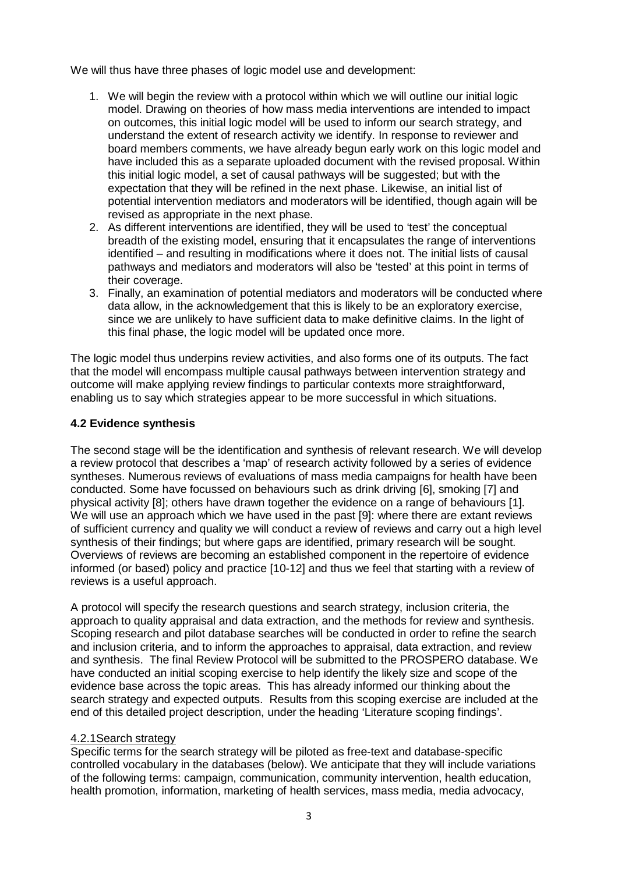We will thus have three phases of logic model use and development:

- 1. We will begin the review with a protocol within which we will outline our initial logic model. Drawing on theories of how mass media interventions are intended to impact on outcomes, this initial logic model will be used to inform our search strategy, and understand the extent of research activity we identify. In response to reviewer and board members comments, we have already begun early work on this logic model and have included this as a separate uploaded document with the revised proposal. Within this initial logic model, a set of causal pathways will be suggested; but with the expectation that they will be refined in the next phase. Likewise, an initial list of potential intervention mediators and moderators will be identified, though again will be revised as appropriate in the next phase.
- 2. As different interventions are identified, they will be used to 'test' the conceptual breadth of the existing model, ensuring that it encapsulates the range of interventions identified – and resulting in modifications where it does not. The initial lists of causal pathways and mediators and moderators will also be 'tested' at this point in terms of their coverage.
- 3. Finally, an examination of potential mediators and moderators will be conducted where data allow, in the acknowledgement that this is likely to be an exploratory exercise, since we are unlikely to have sufficient data to make definitive claims. In the light of this final phase, the logic model will be updated once more.

The logic model thus underpins review activities, and also forms one of its outputs. The fact that the model will encompass multiple causal pathways between intervention strategy and outcome will make applying review findings to particular contexts more straightforward, enabling us to say which strategies appear to be more successful in which situations.

## **4.2 Evidence synthesis**

The second stage will be the identification and synthesis of relevant research. We will develop a review protocol that describes a 'map' of research activity followed by a series of evidence syntheses. Numerous reviews of evaluations of mass media campaigns for health have been conducted. Some have focussed on behaviours such as drink driving [6], smoking [7] and physical activity [8]; others have drawn together the evidence on a range of behaviours [1]. We will use an approach which we have used in the past [9]: where there are extant reviews of sufficient currency and quality we will conduct a review of reviews and carry out a high level synthesis of their findings; but where gaps are identified, primary research will be sought. Overviews of reviews are becoming an established component in the repertoire of evidence informed (or based) policy and practice [10-12] and thus we feel that starting with a review of reviews is a useful approach.

A protocol will specify the research questions and search strategy, inclusion criteria, the approach to quality appraisal and data extraction, and the methods for review and synthesis. Scoping research and pilot database searches will be conducted in order to refine the search and inclusion criteria, and to inform the approaches to appraisal, data extraction, and review and synthesis. The final Review Protocol will be submitted to the PROSPERO database. We have conducted an initial scoping exercise to help identify the likely size and scope of the evidence base across the topic areas. This has already informed our thinking about the search strategy and expected outputs. Results from this scoping exercise are included at the end of this detailed project description, under the heading 'Literature scoping findings'.

## 4.2.1Search strategy

Specific terms for the search strategy will be piloted as free-text and database-specific controlled vocabulary in the databases (below). We anticipate that they will include variations of the following terms: campaign, communication, community intervention, health education, health promotion, information, marketing of health services, mass media, media advocacy,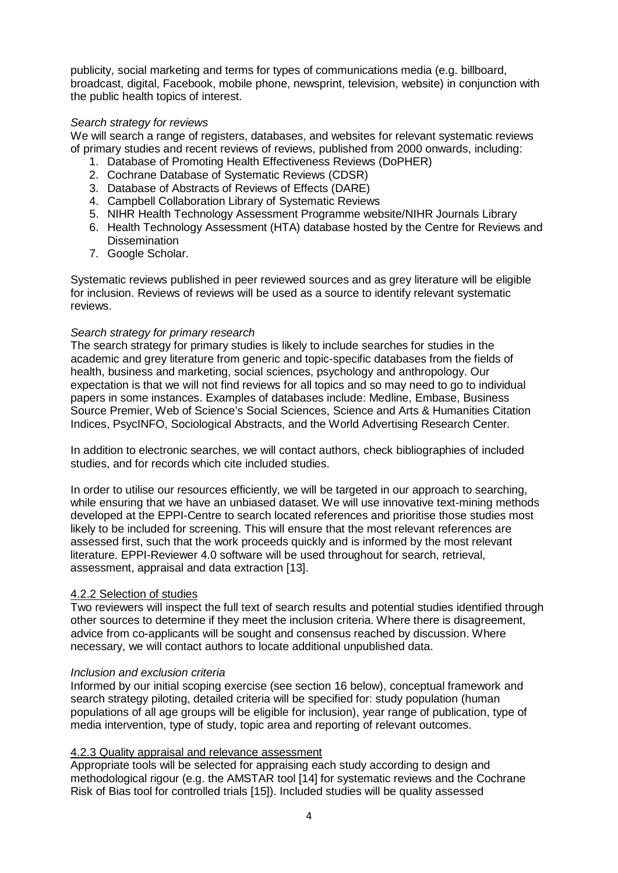publicity, social marketing and terms for types of communications media (e.g. billboard, broadcast, digital, Facebook, mobile phone, newsprint, television, website) in conjunction with the public health topics of interest.

#### *Search strategy for reviews*

We will search a range of registers, databases, and websites for relevant systematic reviews of primary studies and recent reviews of reviews, published from 2000 onwards, including:

- 1. Database of Promoting Health Effectiveness Reviews (DoPHER)
- 2. Cochrane Database of Systematic Reviews (CDSR)
- 3. Database of Abstracts of Reviews of Effects (DARE)
- 4. Campbell Collaboration Library of Systematic Reviews
- 5. NIHR Health Technology Assessment Programme website/NIHR Journals Library
- 6. Health Technology Assessment (HTA) database hosted by the Centre for Reviews and **Dissemination**
- 7. Google Scholar.

Systematic reviews published in peer reviewed sources and as grey literature will be eligible for inclusion. Reviews of reviews will be used as a source to identify relevant systematic reviews.

#### *Search strategy for primary research*

The search strategy for primary studies is likely to include searches for studies in the academic and grey literature from generic and topic-specific databases from the fields of health, business and marketing, social sciences, psychology and anthropology. Our expectation is that we will not find reviews for all topics and so may need to go to individual papers in some instances. Examples of databases include: Medline, Embase, Business Source Premier, Web of Science's Social Sciences, Science and Arts & Humanities Citation Indices, PsycINFO, Sociological Abstracts, and the World Advertising Research Center.

In addition to electronic searches, we will contact authors, check bibliographies of included studies, and for records which cite included studies.

In order to utilise our resources efficiently, we will be targeted in our approach to searching, while ensuring that we have an unbiased dataset. We will use innovative text-mining methods developed at the EPPI-Centre to search located references and prioritise those studies most likely to be included for screening. This will ensure that the most relevant references are assessed first, such that the work proceeds quickly and is informed by the most relevant literature. EPPI-Reviewer 4.0 software will be used throughout for search, retrieval, assessment, appraisal and data extraction [13].

## 4.2.2 Selection of studies

Two reviewers will inspect the full text of search results and potential studies identified through other sources to determine if they meet the inclusion criteria. Where there is disagreement, advice from co-applicants will be sought and consensus reached by discussion. Where necessary, we will contact authors to locate additional unpublished data.

## *Inclusion and exclusion criteria*

Informed by our initial scoping exercise (see section 16 below), conceptual framework and search strategy piloting, detailed criteria will be specified for: study population (human populations of all age groups will be eligible for inclusion), year range of publication, type of media intervention, type of study, topic area and reporting of relevant outcomes.

## 4.2.3 Quality appraisal and relevance assessment

Appropriate tools will be selected for appraising each study according to design and methodological rigour (e.g. the AMSTAR tool [14] for systematic reviews and the Cochrane Risk of Bias tool for controlled trials [15]). Included studies will be quality assessed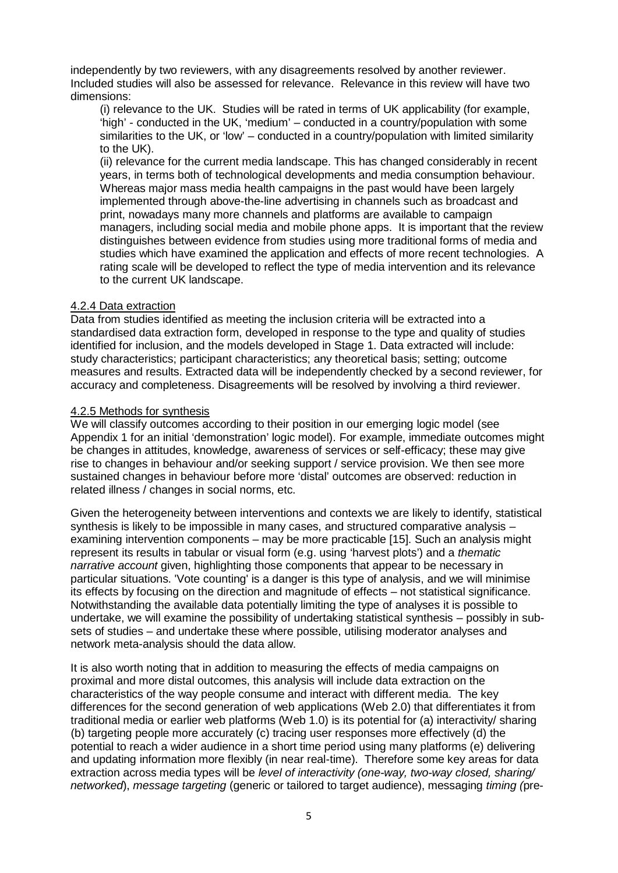independently by two reviewers, with any disagreements resolved by another reviewer. Included studies will also be assessed for relevance. Relevance in this review will have two dimensions:

(i) relevance to the UK. Studies will be rated in terms of UK applicability (for example, 'high' - conducted in the UK, 'medium' – conducted in a country/population with some similarities to the UK, or 'low' – conducted in a country/population with limited similarity to the UK).

(ii) relevance for the current media landscape. This has changed considerably in recent years, in terms both of technological developments and media consumption behaviour. Whereas major mass media health campaigns in the past would have been largely implemented through above-the-line advertising in channels such as broadcast and print, nowadays many more channels and platforms are available to campaign managers, including social media and mobile phone apps. It is important that the review distinguishes between evidence from studies using more traditional forms of media and studies which have examined the application and effects of more recent technologies. A rating scale will be developed to reflect the type of media intervention and its relevance to the current UK landscape.

## 4.2.4 Data extraction

Data from studies identified as meeting the inclusion criteria will be extracted into a standardised data extraction form, developed in response to the type and quality of studies identified for inclusion, and the models developed in Stage 1. Data extracted will include: study characteristics; participant characteristics; any theoretical basis; setting; outcome measures and results. Extracted data will be independently checked by a second reviewer, for accuracy and completeness. Disagreements will be resolved by involving a third reviewer.

#### 4.2.5 Methods for synthesis

We will classify outcomes according to their position in our emerging logic model (see Appendix 1 for an initial 'demonstration' logic model). For example, immediate outcomes might be changes in attitudes, knowledge, awareness of services or self-efficacy; these may give rise to changes in behaviour and/or seeking support / service provision. We then see more sustained changes in behaviour before more 'distal' outcomes are observed: reduction in related illness / changes in social norms, etc.

Given the heterogeneity between interventions and contexts we are likely to identify, statistical synthesis is likely to be impossible in many cases, and structured comparative analysis – examining intervention components – may be more practicable [15]. Such an analysis might represent its results in tabular or visual form (e.g. using 'harvest plots') and a *thematic narrative account* given, highlighting those components that appear to be necessary in particular situations. 'Vote counting' is a danger is this type of analysis, and we will minimise its effects by focusing on the direction and magnitude of effects – not statistical significance. Notwithstanding the available data potentially limiting the type of analyses it is possible to undertake, we will examine the possibility of undertaking statistical synthesis – possibly in subsets of studies – and undertake these where possible, utilising moderator analyses and network meta-analysis should the data allow.

It is also worth noting that in addition to measuring the effects of media campaigns on proximal and more distal outcomes, this analysis will include data extraction on the characteristics of the way people consume and interact with different media. The key differences for the second generation of web applications (Web 2.0) that differentiates it from traditional media or earlier web platforms (Web 1.0) is its potential for (a) interactivity/ sharing (b) targeting people more accurately (c) tracing user responses more effectively (d) the potential to reach a wider audience in a short time period using many platforms (e) delivering and updating information more flexibly (in near real-time). Therefore some key areas for data extraction across media types will be *level of interactivity (one-way, two-way closed, sharing/ networked*), *message targeting* (generic or tailored to target audience), messaging *timing (*pre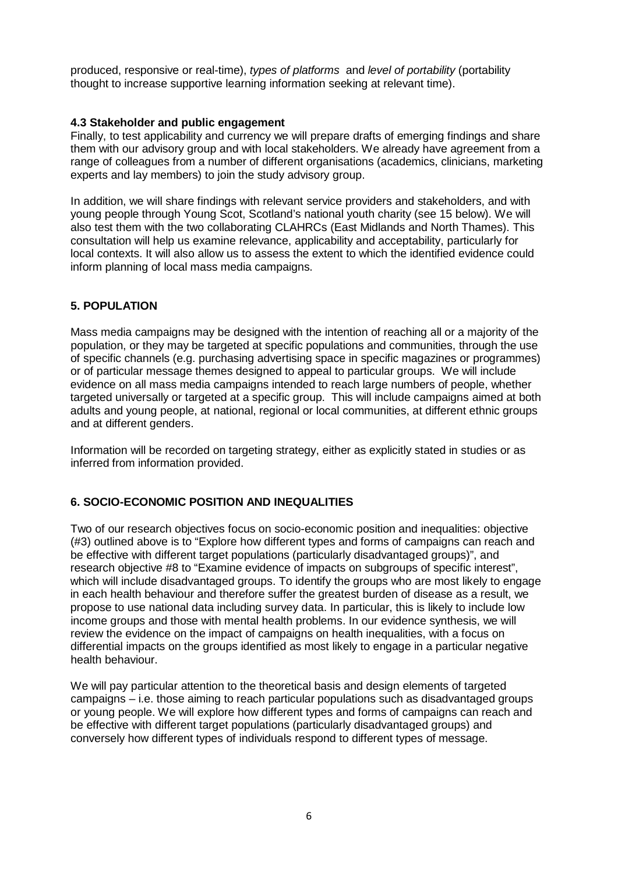produced, responsive or real-time), *types of platforms* and *level of portability* (portability thought to increase supportive learning information seeking at relevant time).

## **4.3 Stakeholder and public engagement**

Finally, to test applicability and currency we will prepare drafts of emerging findings and share them with our advisory group and with local stakeholders. We already have agreement from a range of colleagues from a number of different organisations (academics, clinicians, marketing experts and lay members) to join the study advisory group.

In addition, we will share findings with relevant service providers and stakeholders, and with young people through Young Scot, Scotland's national youth charity (see 15 below). We will also test them with the two collaborating CLAHRCs (East Midlands and North Thames). This consultation will help us examine relevance, applicability and acceptability, particularly for local contexts. It will also allow us to assess the extent to which the identified evidence could inform planning of local mass media campaigns.

## **5. POPULATION**

Mass media campaigns may be designed with the intention of reaching all or a majority of the population, or they may be targeted at specific populations and communities, through the use of specific channels (e.g. purchasing advertising space in specific magazines or programmes) or of particular message themes designed to appeal to particular groups. We will include evidence on all mass media campaigns intended to reach large numbers of people, whether targeted universally or targeted at a specific group. This will include campaigns aimed at both adults and young people, at national, regional or local communities, at different ethnic groups and at different genders.

Information will be recorded on targeting strategy, either as explicitly stated in studies or as inferred from information provided.

## **6. SOCIO-ECONOMIC POSITION AND INEQUALITIES**

Two of our research objectives focus on socio-economic position and inequalities: objective (#3) outlined above is to "Explore how different types and forms of campaigns can reach and be effective with different target populations (particularly disadvantaged groups)", and research objective #8 to "Examine evidence of impacts on subgroups of specific interest", which will include disadvantaged groups. To identify the groups who are most likely to engage in each health behaviour and therefore suffer the greatest burden of disease as a result, we propose to use national data including survey data. In particular, this is likely to include low income groups and those with mental health problems. In our evidence synthesis, we will review the evidence on the impact of campaigns on health inequalities, with a focus on differential impacts on the groups identified as most likely to engage in a particular negative health behaviour.

We will pay particular attention to the theoretical basis and design elements of targeted campaigns – i.e. those aiming to reach particular populations such as disadvantaged groups or young people. We will explore how different types and forms of campaigns can reach and be effective with different target populations (particularly disadvantaged groups) and conversely how different types of individuals respond to different types of message.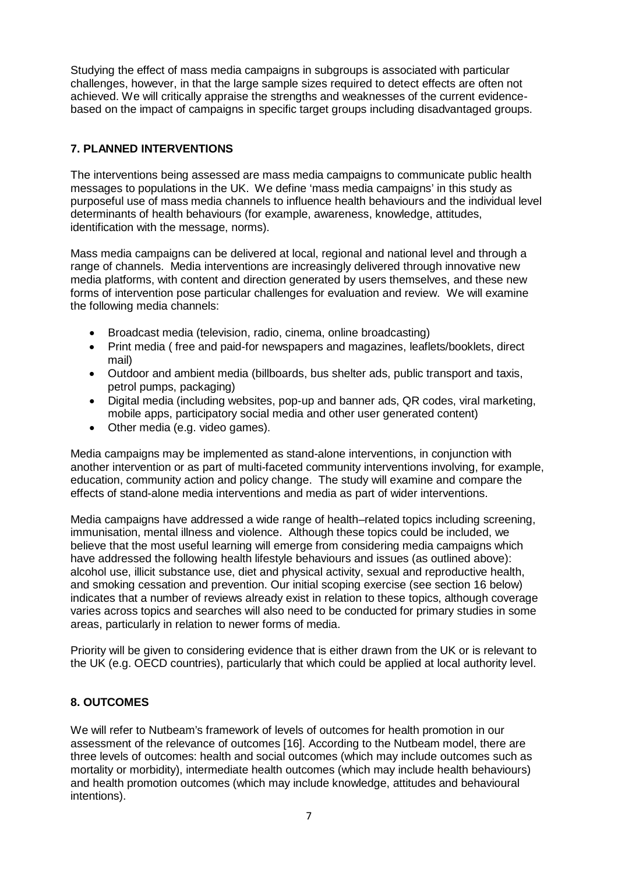Studying the effect of mass media campaigns in subgroups is associated with particular challenges, however, in that the large sample sizes required to detect effects are often not achieved. We will critically appraise the strengths and weaknesses of the current evidencebased on the impact of campaigns in specific target groups including disadvantaged groups.

## **7. PLANNED INTERVENTIONS**

The interventions being assessed are mass media campaigns to communicate public health messages to populations in the UK. We define 'mass media campaigns' in this study as purposeful use of mass media channels to influence health behaviours and the individual level determinants of health behaviours (for example, awareness, knowledge, attitudes, identification with the message, norms).

Mass media campaigns can be delivered at local, regional and national level and through a range of channels. Media interventions are increasingly delivered through innovative new media platforms, with content and direction generated by users themselves, and these new forms of intervention pose particular challenges for evaluation and review. We will examine the following media channels:

- Broadcast media (television, radio, cinema, online broadcasting)
- Print media ( free and paid-for newspapers and magazines, leaflets/booklets, direct mail)
- Outdoor and ambient media (billboards, bus shelter ads, public transport and taxis, petrol pumps, packaging)
- Digital media (including websites, pop-up and banner ads, QR codes, viral marketing, mobile apps, participatory social media and other user generated content)
- Other media (e.g. video games).

Media campaigns may be implemented as stand-alone interventions, in conjunction with another intervention or as part of multi-faceted community interventions involving, for example, education, community action and policy change. The study will examine and compare the effects of stand-alone media interventions and media as part of wider interventions.

Media campaigns have addressed a wide range of health–related topics including screening, immunisation, mental illness and violence. Although these topics could be included, we believe that the most useful learning will emerge from considering media campaigns which have addressed the following health lifestyle behaviours and issues (as outlined above): alcohol use, illicit substance use, diet and physical activity, sexual and reproductive health, and smoking cessation and prevention. Our initial scoping exercise (see section 16 below) indicates that a number of reviews already exist in relation to these topics, although coverage varies across topics and searches will also need to be conducted for primary studies in some areas, particularly in relation to newer forms of media.

Priority will be given to considering evidence that is either drawn from the UK or is relevant to the UK (e.g. OECD countries), particularly that which could be applied at local authority level.

## **8. OUTCOMES**

We will refer to Nutbeam's framework of levels of outcomes for health promotion in our assessment of the relevance of outcomes [16]. According to the Nutbeam model, there are three levels of outcomes: health and social outcomes (which may include outcomes such as mortality or morbidity), intermediate health outcomes (which may include health behaviours) and health promotion outcomes (which may include knowledge, attitudes and behavioural intentions).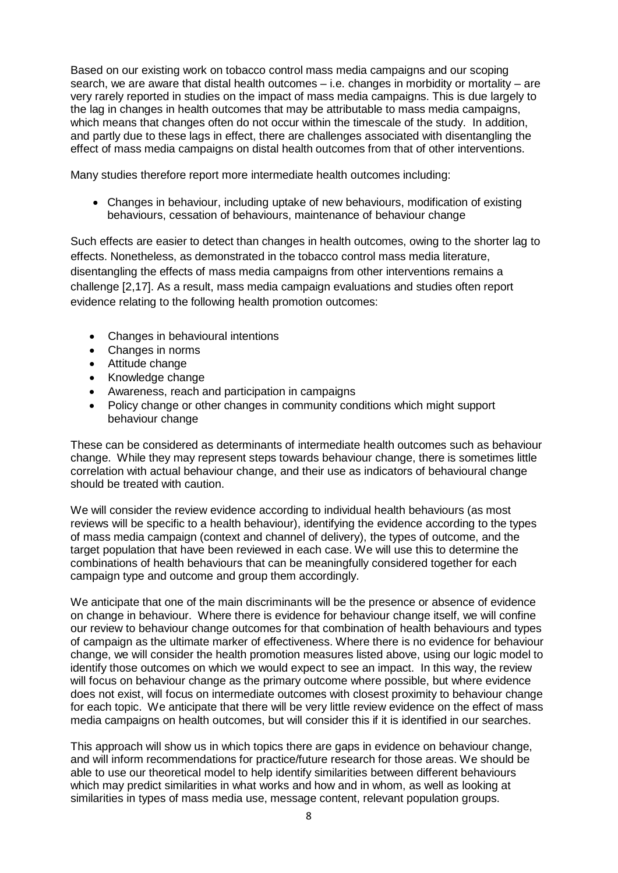Based on our existing work on tobacco control mass media campaigns and our scoping search, we are aware that distal health outcomes – i.e. changes in morbidity or mortality – are very rarely reported in studies on the impact of mass media campaigns. This is due largely to the lag in changes in health outcomes that may be attributable to mass media campaigns, which means that changes often do not occur within the timescale of the study. In addition, and partly due to these lags in effect, there are challenges associated with disentangling the effect of mass media campaigns on distal health outcomes from that of other interventions.

Many studies therefore report more intermediate health outcomes including:

• Changes in behaviour, including uptake of new behaviours, modification of existing behaviours, cessation of behaviours, maintenance of behaviour change

Such effects are easier to detect than changes in health outcomes, owing to the shorter lag to effects. Nonetheless, as demonstrated in the tobacco control mass media literature, disentangling the effects of mass media campaigns from other interventions remains a challenge [2,17]. As a result, mass media campaign evaluations and studies often report evidence relating to the following health promotion outcomes:

- Changes in behavioural intentions
- Changes in norms
- Attitude change
- Knowledge change
- Awareness, reach and participation in campaigns
- Policy change or other changes in community conditions which might support behaviour change

These can be considered as determinants of intermediate health outcomes such as behaviour change. While they may represent steps towards behaviour change, there is sometimes little correlation with actual behaviour change, and their use as indicators of behavioural change should be treated with caution.

We will consider the review evidence according to individual health behaviours (as most reviews will be specific to a health behaviour), identifying the evidence according to the types of mass media campaign (context and channel of delivery), the types of outcome, and the target population that have been reviewed in each case. We will use this to determine the combinations of health behaviours that can be meaningfully considered together for each campaign type and outcome and group them accordingly.

We anticipate that one of the main discriminants will be the presence or absence of evidence on change in behaviour. Where there is evidence for behaviour change itself, we will confine our review to behaviour change outcomes for that combination of health behaviours and types of campaign as the ultimate marker of effectiveness. Where there is no evidence for behaviour change, we will consider the health promotion measures listed above, using our logic model to identify those outcomes on which we would expect to see an impact. In this way, the review will focus on behaviour change as the primary outcome where possible, but where evidence does not exist, will focus on intermediate outcomes with closest proximity to behaviour change for each topic. We anticipate that there will be very little review evidence on the effect of mass media campaigns on health outcomes, but will consider this if it is identified in our searches.

This approach will show us in which topics there are gaps in evidence on behaviour change, and will inform recommendations for practice/future research for those areas. We should be able to use our theoretical model to help identify similarities between different behaviours which may predict similarities in what works and how and in whom, as well as looking at similarities in types of mass media use, message content, relevant population groups.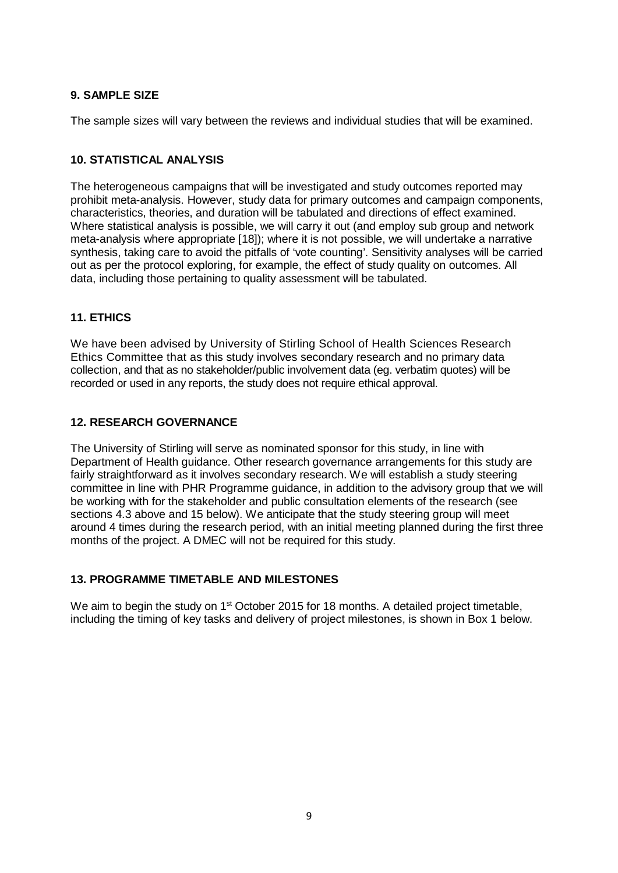## **9. SAMPLE SIZE**

The sample sizes will vary between the reviews and individual studies that will be examined.

## **10. STATISTICAL ANALYSIS**

The heterogeneous campaigns that will be investigated and study outcomes reported may prohibit meta-analysis. However, study data for primary outcomes and campaign components, characteristics, theories, and duration will be tabulated and directions of effect examined. Where statistical analysis is possible, we will carry it out (and employ sub group and network meta-analysis where appropriate [18]); where it is not possible, we will undertake a narrative synthesis, taking care to avoid the pitfalls of 'vote counting'. Sensitivity analyses will be carried out as per the protocol exploring, for example, the effect of study quality on outcomes. All data, including those pertaining to quality assessment will be tabulated.

## **11. ETHICS**

We have been advised by University of Stirling School of Health Sciences Research Ethics Committee that as this study involves secondary research and no primary data collection, and that as no stakeholder/public involvement data (eg. verbatim quotes) will be recorded or used in any reports, the study does not require ethical approval.

## **12. RESEARCH GOVERNANCE**

The University of Stirling will serve as nominated sponsor for this study, in line with Department of Health guidance. Other research governance arrangements for this study are fairly straightforward as it involves secondary research. We will establish a study steering committee in line with PHR Programme guidance, in addition to the advisory group that we will be working with for the stakeholder and public consultation elements of the research (see sections 4.3 above and 15 below). We anticipate that the study steering group will meet around 4 times during the research period, with an initial meeting planned during the first three months of the project. A DMEC will not be required for this study.

## **13. PROGRAMME TIMETABLE AND MILESTONES**

We aim to begin the study on 1<sup>st</sup> October 2015 for 18 months. A detailed project timetable, including the timing of key tasks and delivery of project milestones, is shown in Box 1 below.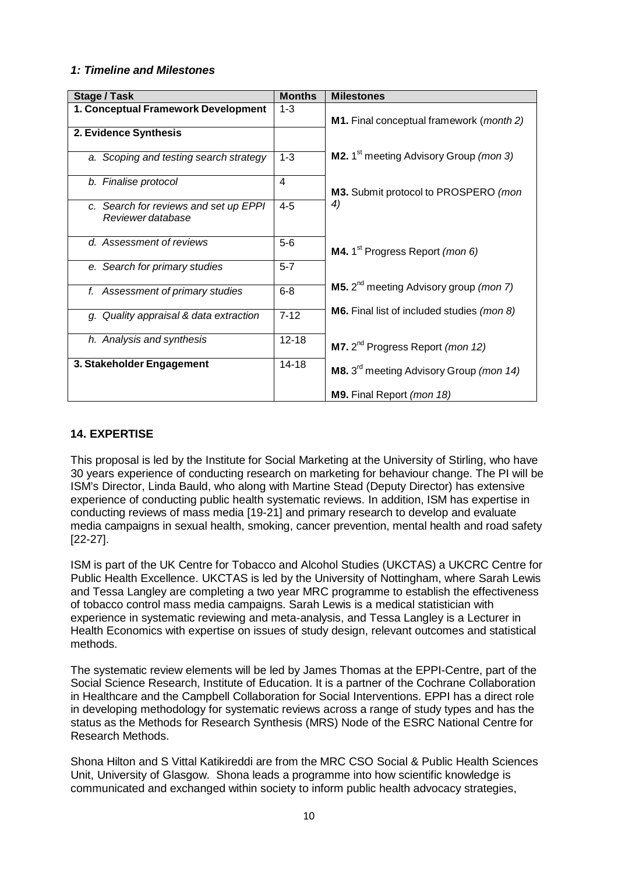#### *1: Timeline and Milestones*

| <b>Stage / Task</b>                                        | <b>Months</b> | <b>Milestones</b>                                           |  |
|------------------------------------------------------------|---------------|-------------------------------------------------------------|--|
| 1. Conceptual Framework Development                        | $1 - 3$       | M1. Final conceptual framework (month 2)                    |  |
| 2. Evidence Synthesis                                      |               |                                                             |  |
| a. Scoping and testing search strategy                     | $1 - 3$       | M2. 1 <sup>st</sup> meeting Advisory Group (mon 3)          |  |
| b. Finalise protocol                                       | 4             | M3. Submit protocol to PROSPERO (mon                        |  |
| c. Search for reviews and set up EPPI<br>Reviewer database | $4 - 5$       | 4)                                                          |  |
| d. Assessment of reviews                                   | $5-6$         | <b>M4.</b> 1 <sup>st</sup> Progress Report (mon 6)          |  |
| e. Search for primary studies                              | $5 - 7$       |                                                             |  |
| f. Assessment of primary studies                           | $6 - 8$       | <b>M5.</b> $2^{nd}$ meeting Advisory group ( <i>mon 7</i> ) |  |
| g. Quality appraisal & data extraction                     | $7 - 12$      | M6. Final list of included studies (mon 8)                  |  |
| h. Analysis and synthesis                                  | $12 - 18$     | M7. 2 <sup>nd</sup> Progress Report (mon 12)                |  |
| 3. Stakeholder Engagement                                  | $14 - 18$     | M8. 3 <sup>rd</sup> meeting Advisory Group (mon 14)         |  |
|                                                            |               | M9. Final Report (mon 18)                                   |  |

## **14. EXPERTISE**

This proposal is led by the Institute for Social Marketing at the University of Stirling, who have 30 years experience of conducting research on marketing for behaviour change. The PI will be ISM's Director, Linda Bauld, who along with Martine Stead (Deputy Director) has extensive experience of conducting public health systematic reviews. In addition, ISM has expertise in conducting reviews of mass media [19-21] and primary research to develop and evaluate media campaigns in sexual health, smoking, cancer prevention, mental health and road safety [22-27].

ISM is part of the UK Centre for Tobacco and Alcohol Studies (UKCTAS) a UKCRC Centre for Public Health Excellence. UKCTAS is led by the University of Nottingham, where Sarah Lewis and Tessa Langley are completing a two year MRC programme to establish the effectiveness of tobacco control mass media campaigns. Sarah Lewis is a medical statistician with experience in systematic reviewing and meta-analysis, and Tessa Langley is a Lecturer in Health Economics with expertise on issues of study design, relevant outcomes and statistical methods.

The systematic review elements will be led by James Thomas at the EPPI-Centre, part of the Social Science Research, Institute of Education. It is a partner of the Cochrane Collaboration in Healthcare and the Campbell Collaboration for Social Interventions. EPPI has a direct role in developing methodology for systematic reviews across a range of study types and has the status as the Methods for Research Synthesis (MRS) Node of the ESRC National Centre for Research Methods.

Shona Hilton and S Vittal Katikireddi are from the MRC CSO Social & Public Health Sciences Unit, University of Glasgow. Shona leads a programme into how scientific knowledge is communicated and exchanged within society to inform public health advocacy strategies,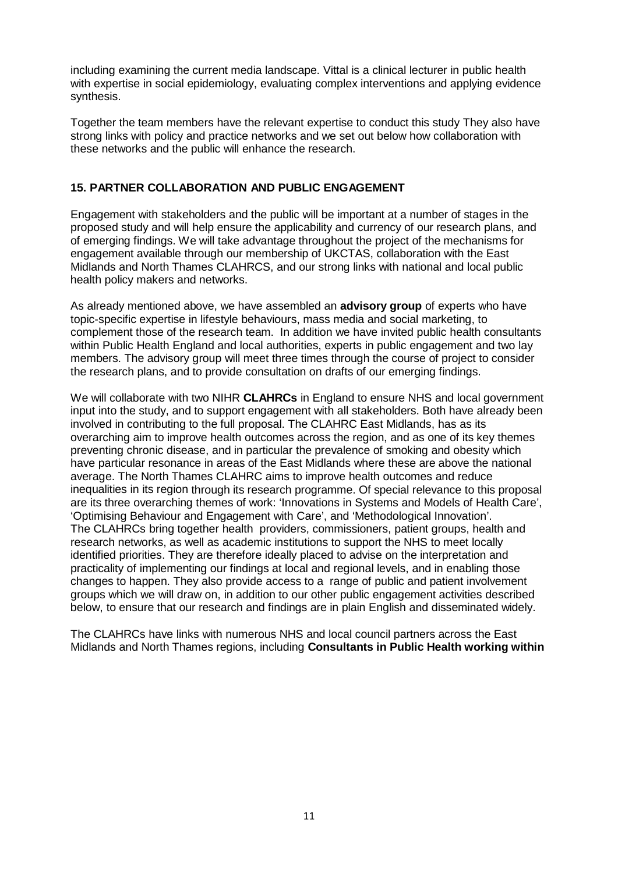including examining the current media landscape. Vittal is a clinical lecturer in public health with expertise in social epidemiology, evaluating complex interventions and applying evidence synthesis.

Together the team members have the relevant expertise to conduct this study They also have strong links with policy and practice networks and we set out below how collaboration with these networks and the public will enhance the research.

## **15. PARTNER COLLABORATION AND PUBLIC ENGAGEMENT**

Engagement with stakeholders and the public will be important at a number of stages in the proposed study and will help ensure the applicability and currency of our research plans, and of emerging findings. We will take advantage throughout the project of the mechanisms for engagement available through our membership of UKCTAS, collaboration with the East Midlands and North Thames CLAHRCS, and our strong links with national and local public health policy makers and networks.

As already mentioned above, we have assembled an **advisory group** of experts who have topic-specific expertise in lifestyle behaviours, mass media and social marketing, to complement those of the research team. In addition we have invited public health consultants within Public Health England and local authorities, experts in public engagement and two lay members. The advisory group will meet three times through the course of project to consider the research plans, and to provide consultation on drafts of our emerging findings.

We will collaborate with two NIHR **CLAHRCs** in England to ensure NHS and local government input into the study, and to support engagement with all stakeholders. Both have already been involved in contributing to the full proposal. The CLAHRC East Midlands, has as its overarching aim to improve health outcomes across the region, and as one of its key themes preventing chronic disease, and in particular the prevalence of smoking and obesity which have particular resonance in areas of the East Midlands where these are above the national average. The North Thames CLAHRC aims to improve health outcomes and reduce inequalities in its region through its research programme. Of special relevance to this proposal are its three overarching themes of work: 'Innovations in Systems and Models of Health Care', 'Optimising Behaviour and Engagement with Care', and 'Methodological Innovation'. The CLAHRCs bring together health providers, commissioners, patient groups, health and research networks, as well as academic institutions to support the NHS to meet locally identified priorities. They are therefore ideally placed to advise on the interpretation and practicality of implementing our findings at local and regional levels, and in enabling those changes to happen. They also provide access to a range of public and patient involvement groups which we will draw on, in addition to our other public engagement activities described below, to ensure that our research and findings are in plain English and disseminated widely.

The CLAHRCs have links with numerous NHS and local council partners across the East Midlands and North Thames regions, including **Consultants in Public Health working within**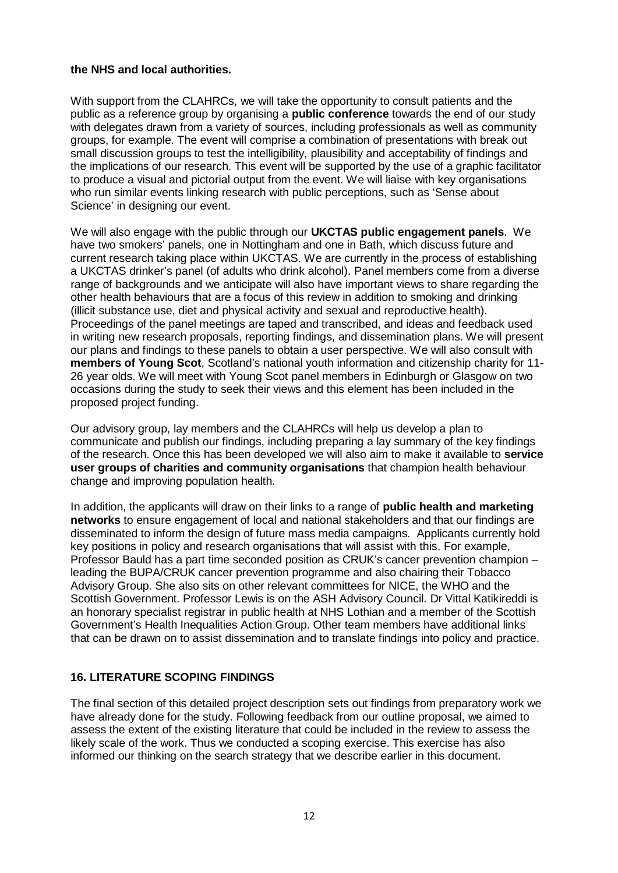#### **the NHS and local authorities.**

With support from the CLAHRCs, we will take the opportunity to consult patients and the public as a reference group by organising a **public conference** towards the end of our study with delegates drawn from a variety of sources, including professionals as well as community groups, for example. The event will comprise a combination of presentations with break out small discussion groups to test the intelligibility, plausibility and acceptability of findings and the implications of our research. This event will be supported by the use of a graphic facilitator to produce a visual and pictorial output from the event. We will liaise with key organisations who run similar events linking research with public perceptions, such as 'Sense about Science' in designing our event.

We will also engage with the public through our **UKCTAS public engagement panels**. We have two smokers' panels, one in Nottingham and one in Bath, which discuss future and current research taking place within UKCTAS. We are currently in the process of establishing a UKCTAS drinker's panel (of adults who drink alcohol). Panel members come from a diverse range of backgrounds and we anticipate will also have important views to share regarding the other health behaviours that are a focus of this review in addition to smoking and drinking (illicit substance use, diet and physical activity and sexual and reproductive health). Proceedings of the panel meetings are taped and transcribed, and ideas and feedback used in writing new research proposals, reporting findings, and dissemination plans. We will present our plans and findings to these panels to obtain a user perspective. We will also consult with **members of Young Scot**, Scotland's national youth information and citizenship charity for 11- 26 year olds. We will meet with Young Scot panel members in Edinburgh or Glasgow on two occasions during the study to seek their views and this element has been included in the proposed project funding.

Our advisory group, lay members and the CLAHRCs will help us develop a plan to communicate and publish our findings, including preparing a lay summary of the key findings of the research. Once this has been developed we will also aim to make it available to **service user groups of charities and community organisations** that champion health behaviour change and improving population health.

In addition, the applicants will draw on their links to a range of **public health and marketing networks** to ensure engagement of local and national stakeholders and that our findings are disseminated to inform the design of future mass media campaigns. Applicants currently hold key positions in policy and research organisations that will assist with this. For example, Professor Bauld has a part time seconded position as CRUK's cancer prevention champion – leading the BUPA/CRUK cancer prevention programme and also chairing their Tobacco Advisory Group. She also sits on other relevant committees for NICE, the WHO and the Scottish Government. Professor Lewis is on the ASH Advisory Council. Dr Vittal Katikireddi is an honorary specialist registrar in public health at NHS Lothian and a member of the Scottish Government's Health Inequalities Action Group. Other team members have additional links that can be drawn on to assist dissemination and to translate findings into policy and practice.

## **16. LITERATURE SCOPING FINDINGS**

The final section of this detailed project description sets out findings from preparatory work we have already done for the study. Following feedback from our outline proposal, we aimed to assess the extent of the existing literature that could be included in the review to assess the likely scale of the work. Thus we conducted a scoping exercise. This exercise has also informed our thinking on the search strategy that we describe earlier in this document.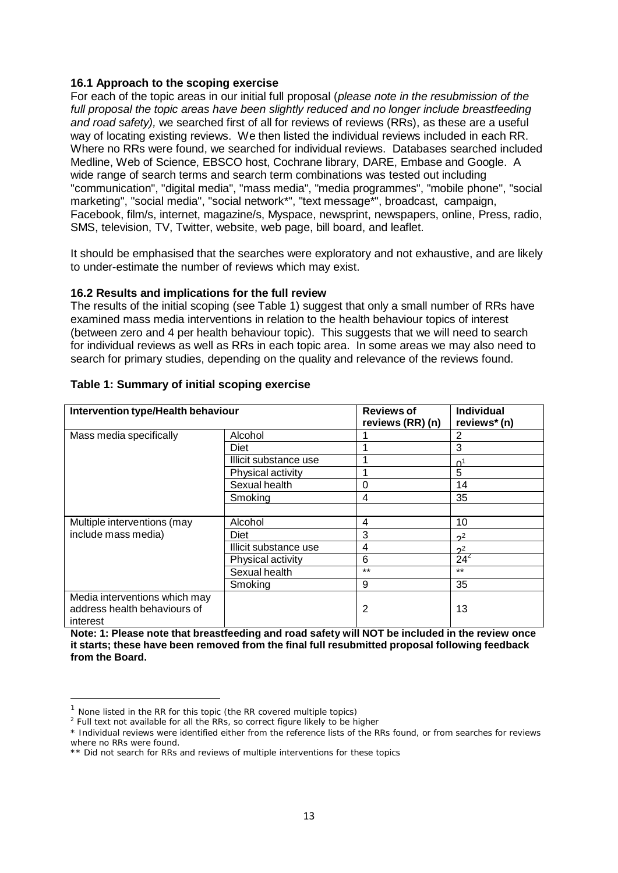#### **16.1 Approach to the scoping exercise**

For each of the topic areas in our initial full proposal (*please note in the resubmission of the full proposal the topic areas have been slightly reduced and no longer include breastfeeding and road safety),* we searched first of all for reviews of reviews (RRs), as these are a useful way of locating existing reviews. We then listed the individual reviews included in each RR. Where no RRs were found, we searched for individual reviews. Databases searched included Medline, Web of Science, EBSCO host, Cochrane library, DARE, Embase and Google. A wide range of search terms and search term combinations was tested out including "communication", "digital media", "mass media", "media programmes", "mobile phone", "social marketing", "social media", "social network\*", "text message\*", broadcast, campaign, Facebook, film/s, internet, magazine/s, Myspace, newsprint, newspapers, online, Press, radio, SMS, television, TV, Twitter, website, web page, bill board, and leaflet.

It should be emphasised that the searches were exploratory and not exhaustive, and are likely to under-estimate the number of reviews which may exist.

#### **16.2 Results and implications for the full review**

The results of the initial scoping (see Table 1) suggest that only a small number of RRs have examined mass media interventions in relation to the health behaviour topics of interest (between zero and 4 per health behaviour topic). This suggests that we will need to search for individual reviews as well as RRs in each topic area. In some areas we may also need to search for primary studies, depending on the quality and relevance of the reviews found.

| Intervention type/Health behaviour                                        |                       | <b>Reviews of</b><br>reviews (RR) (n) | <b>Individual</b><br>reviews* (n) |
|---------------------------------------------------------------------------|-----------------------|---------------------------------------|-----------------------------------|
| Mass media specifically                                                   | Alcohol               |                                       | 2                                 |
|                                                                           | Diet                  |                                       | 3                                 |
|                                                                           | Illicit substance use |                                       | $\bigcap$                         |
|                                                                           | Physical activity     |                                       | 5                                 |
|                                                                           | Sexual health         | 0                                     | 14                                |
|                                                                           | Smoking               | 4                                     | 35                                |
|                                                                           |                       |                                       |                                   |
| Multiple interventions (may<br>include mass media)                        | Alcohol               | 4                                     | 10                                |
|                                                                           | Diet                  | 3                                     | $2^2$                             |
|                                                                           | Illicit substance use | 4                                     | $2^2$                             |
|                                                                           | Physical activity     | 6                                     | $24^{2}$                          |
|                                                                           | Sexual health         | $***$                                 | $***$                             |
|                                                                           | Smoking               | 9                                     | 35                                |
| Media interventions which may<br>address health behaviours of<br>interest |                       | 2                                     | 13                                |

#### **Table 1: Summary of initial scoping exercise**

**Note: 1: Please note that breastfeeding and road safety will NOT be included in the review once it starts; these have been removed from the final full resubmitted proposal following feedback from the Board.**

 $1$  None listed in the RR for this topic (the RR covered multiple topics)

 $2$  Full text not available for all the RRs, so correct figure likely to be higher

<sup>\*</sup> Individual reviews were identified either from the reference lists of the RRs found, or from searches for reviews where no RRs were found.

<sup>\*\*</sup> Did not search for RRs and reviews of multiple interventions for these topics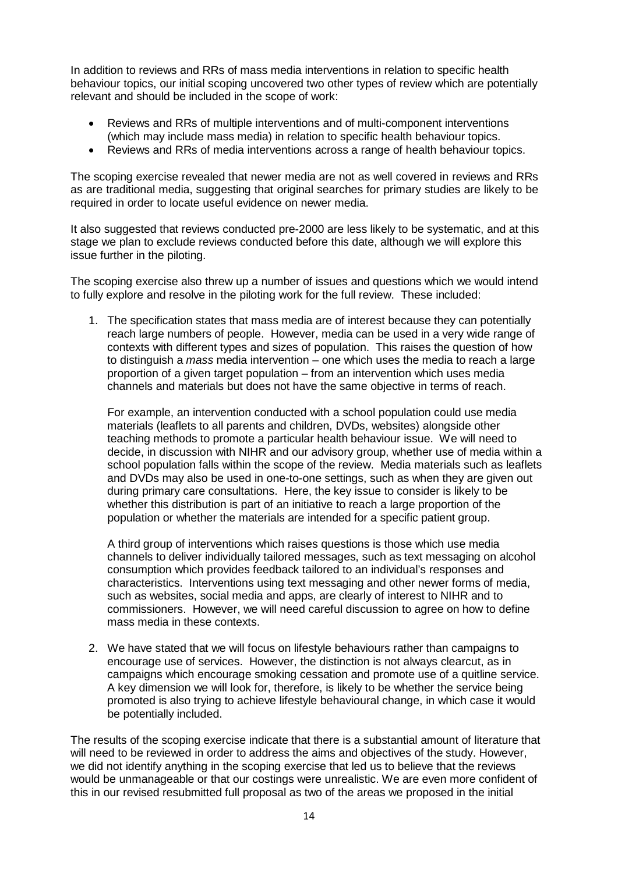In addition to reviews and RRs of mass media interventions in relation to specific health behaviour topics, our initial scoping uncovered two other types of review which are potentially relevant and should be included in the scope of work:

- Reviews and RRs of multiple interventions and of multi-component interventions (which may include mass media) in relation to specific health behaviour topics.
- Reviews and RRs of media interventions across a range of health behaviour topics.

The scoping exercise revealed that newer media are not as well covered in reviews and RRs as are traditional media, suggesting that original searches for primary studies are likely to be required in order to locate useful evidence on newer media.

It also suggested that reviews conducted pre-2000 are less likely to be systematic, and at this stage we plan to exclude reviews conducted before this date, although we will explore this issue further in the piloting.

The scoping exercise also threw up a number of issues and questions which we would intend to fully explore and resolve in the piloting work for the full review. These included:

1. The specification states that mass media are of interest because they can potentially reach large numbers of people. However, media can be used in a very wide range of contexts with different types and sizes of population. This raises the question of how to distinguish a *mass* media intervention – one which uses the media to reach a large proportion of a given target population – from an intervention which uses media channels and materials but does not have the same objective in terms of reach.

For example, an intervention conducted with a school population could use media materials (leaflets to all parents and children, DVDs, websites) alongside other teaching methods to promote a particular health behaviour issue. We will need to decide, in discussion with NIHR and our advisory group, whether use of media within a school population falls within the scope of the review. Media materials such as leaflets and DVDs may also be used in one-to-one settings, such as when they are given out during primary care consultations. Here, the key issue to consider is likely to be whether this distribution is part of an initiative to reach a large proportion of the population or whether the materials are intended for a specific patient group.

A third group of interventions which raises questions is those which use media channels to deliver individually tailored messages, such as text messaging on alcohol consumption which provides feedback tailored to an individual's responses and characteristics. Interventions using text messaging and other newer forms of media, such as websites, social media and apps, are clearly of interest to NIHR and to commissioners. However, we will need careful discussion to agree on how to define mass media in these contexts.

2. We have stated that we will focus on lifestyle behaviours rather than campaigns to encourage use of services. However, the distinction is not always clearcut, as in campaigns which encourage smoking cessation and promote use of a quitline service. A key dimension we will look for, therefore, is likely to be whether the service being promoted is also trying to achieve lifestyle behavioural change, in which case it would be potentially included.

The results of the scoping exercise indicate that there is a substantial amount of literature that will need to be reviewed in order to address the aims and objectives of the study. However, we did not identify anything in the scoping exercise that led us to believe that the reviews would be unmanageable or that our costings were unrealistic. We are even more confident of this in our revised resubmitted full proposal as two of the areas we proposed in the initial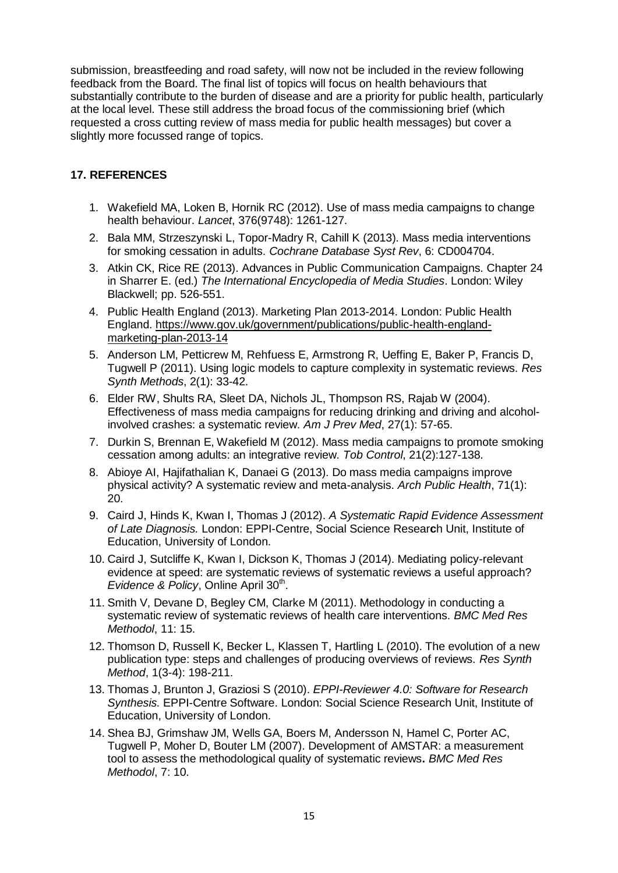submission, breastfeeding and road safety, will now not be included in the review following feedback from the Board. The final list of topics will focus on health behaviours that substantially contribute to the burden of disease and are a priority for public health, particularly at the local level. These still address the broad focus of the commissioning brief (which requested a cross cutting review of mass media for public health messages) but cover a slightly more focussed range of topics.

## **17. REFERENCES**

- 1. Wakefield MA, Loken B, Hornik RC (2012). Use of mass media campaigns to change health behaviour. *Lancet*, 376(9748): 1261-127.
- 2. Bala MM, Strzeszynski L, Topor-Madry R, Cahill K (2013). Mass media interventions for smoking cessation in adults. *Cochrane Database Syst Rev*, 6: CD004704.
- 3. Atkin CK, Rice RE (2013). Advances in Public Communication Campaigns. Chapter 24 in Sharrer E. (ed.) *The International Encyclopedia of Media Studies*. London: Wiley Blackwell; pp. 526-551.
- 4. Public Health England (2013). Marketing Plan 2013-2014. London: Public Health England. [https://www.gov.uk/government/publications/public-health-england](https://www.gov.uk/government/publications/public-health-england-marketing-plan-2013-14)[marketing-plan-2013-14](https://www.gov.uk/government/publications/public-health-england-marketing-plan-2013-14)
- 5. Anderson LM, Petticrew M, Rehfuess E, Armstrong R, Ueffing E, Baker P, Francis D, Tugwell P (2011). Using logic models to capture complexity in systematic reviews. *Res Synth Methods*, 2(1): 33-42.
- 6. Elder RW, Shults RA, Sleet DA, Nichols JL, Thompson RS, Rajab W (2004). Effectiveness of mass media campaigns for reducing drinking and driving and alcoholinvolved crashes: a systematic review. *Am J Prev Med*, 27(1): 57-65.
- 7. Durkin S, Brennan E, Wakefield M (2012). Mass media campaigns to promote smoking cessation among adults: an integrative review. *Tob Control*, 21(2):127-138.
- 8. Abioye AI, Hajifathalian K, Danaei G (2013). Do mass media campaigns improve physical activity? A systematic review and meta-analysis. *Arch Public Health*, 71(1): 20.
- 9. Caird J, Hinds K, Kwan I, Thomas J (2012). *A Systematic Rapid Evidence Assessment of Late Diagnosis.* London: EPPI-Centre, Social Science Resear**c**h Unit, Institute of Education, University of London.
- 10. Caird J, Sutcliffe K, Kwan I, Dickson K, Thomas J (2014). Mediating policy-relevant evidence at speed: are systematic reviews of systematic reviews a useful approach? *Evidence* & *Policy*, Online April 30<sup>th</sup>.
- 11. Smith V, Devane D, Begley CM, Clarke M (2011). Methodology in conducting a systematic review of systematic reviews of health care interventions. *BMC Med Res Methodol*, 11: 15.
- 12. Thomson D, Russell K, Becker L, Klassen T, Hartling L (2010). The evolution of a new publication type: steps and challenges of producing overviews of reviews. *Res Synth Method*, 1(3-4): 198-211.
- 13. Thomas J, Brunton J, Graziosi S (2010). *EPPI-Reviewer 4.0: Software for Research Synthesis.* EPPI-Centre Software. London: Social Science Research Unit, Institute of Education, University of London.
- 14. Shea BJ, Grimshaw JM, Wells GA, Boers M, Andersson N, Hamel C, Porter AC, Tugwell P, Moher D, Bouter LM (2007). Development of AMSTAR: a measurement tool to assess the methodological quality of systematic reviews**.** *BMC Med Res Methodol*, 7: 10.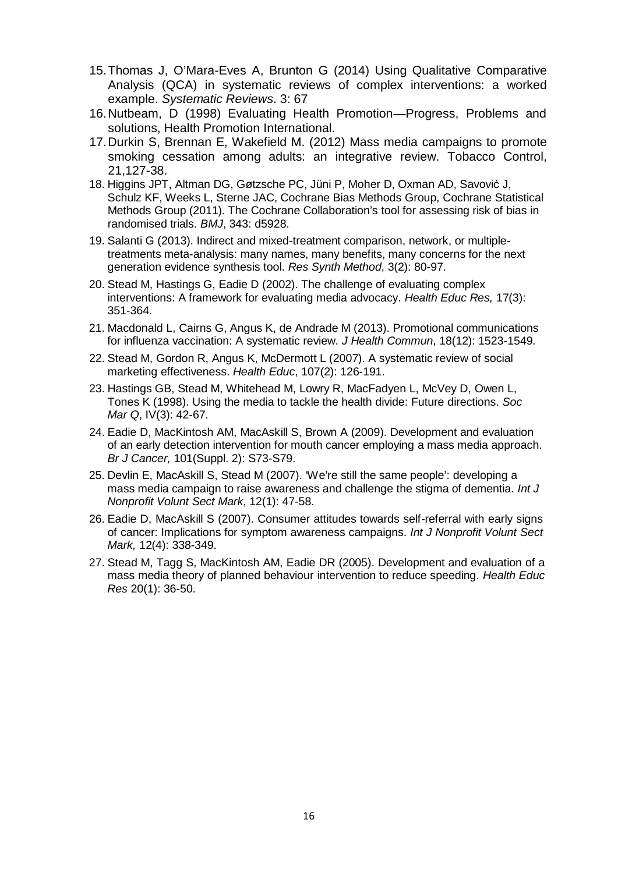- 15.Thomas J, O'Mara-Eves A, Brunton G (2014) Using Qualitative Comparative Analysis (QCA) in systematic reviews of complex interventions: a worked example. *Systematic Reviews*. 3: 67
- 16.Nutbeam, D (1998) Evaluating Health Promotion—Progress, Problems and solutions, Health Promotion International.
- 17.Durkin S, Brennan E, Wakefield M. (2012) Mass media campaigns to promote smoking cessation among adults: an integrative review. Tobacco Control, 21,127-38.
- 18. Higgins JPT, Altman DG, Gøtzsche PC, Jüni P, Moher D, Oxman AD, Savović J, Schulz KF, Weeks L, Sterne JAC, Cochrane Bias Methods Group, Cochrane Statistical Methods Group (2011). The Cochrane Collaboration's tool for assessing risk of bias in randomised trials. *BMJ*, 343: d5928.
- 19. Salanti G (2013). Indirect and mixed-treatment comparison, network, or multipletreatments meta-analysis: many names, many benefits, many concerns for the next generation evidence synthesis tool. *Res Synth Method*, 3(2): 80-97.
- 20. Stead M, Hastings G, Eadie D (2002). The challenge of evaluating complex interventions: A framework for evaluating media advocacy. *Health Educ Res,* 17(3): 351-364.
- 21. Macdonald L, Cairns G, Angus K, de Andrade M (2013). Promotional communications for influenza vaccination: A systematic review. *J Health Commun*, 18(12): 1523-1549.
- 22. Stead M, Gordon R, Angus K, McDermott L (2007). A systematic review of social marketing effectiveness. *Health Educ*, 107(2): 126-191.
- 23. Hastings GB, Stead M, Whitehead M, Lowry R, MacFadyen L, McVey D, Owen L, Tones K (1998). Using the media to tackle the health divide: Future directions. *Soc Mar Q*, IV(3): 42-67.
- 24. Eadie D, MacKintosh AM, MacAskill S, Brown A (2009). Development and evaluation of an early detection intervention for mouth cancer employing a mass media approach. *Br J Cancer,* 101(Suppl. 2): S73-S79.
- 25. Devlin E, MacAskill S, Stead M (2007). 'We're still the same people': developing a mass media campaign to raise awareness and challenge the stigma of dementia. *Int J Nonprofit Volunt Sect Mark*, 12(1): 47-58.
- 26. Eadie D, MacAskill S (2007). Consumer attitudes towards self-referral with early signs of cancer: Implications for symptom awareness campaigns. *Int J Nonprofit Volunt Sect Mark,* 12(4): 338-349.
- 27. Stead M, Tagg S, MacKintosh AM, Eadie DR (2005). Development and evaluation of a mass media theory of planned behaviour intervention to reduce speeding. *Health Educ Res* 20(1): 36-50.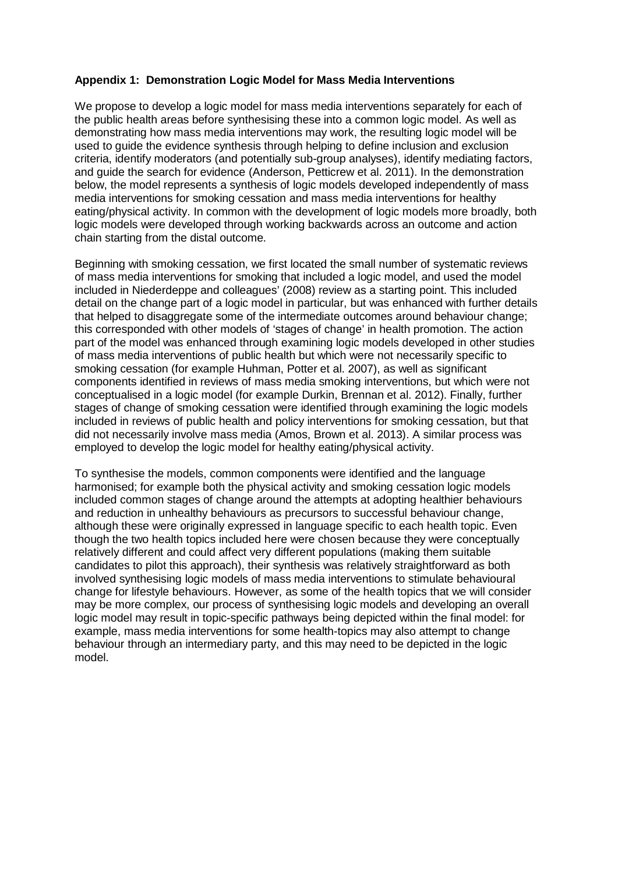## **Appendix 1: Demonstration Logic Model for Mass Media Interventions**

We propose to develop a logic model for mass media interventions separately for each of the public health areas before synthesising these into a common logic model. As well as demonstrating how mass media interventions may work, the resulting logic model will be used to guide the evidence synthesis through helping to define inclusion and exclusion criteria, identify moderators (and potentially sub-group analyses), identify mediating factors, and guide the search for evidence (Anderson, Petticrew et al. 2011). In the demonstration below, the model represents a synthesis of logic models developed independently of mass media interventions for smoking cessation and mass media interventions for healthy eating/physical activity. In common with the development of logic models more broadly, both logic models were developed through working backwards across an outcome and action chain starting from the distal outcome.

Beginning with smoking cessation, we first located the small number of systematic reviews of mass media interventions for smoking that included a logic model, and used the model included in Niederdeppe and colleagues' (2008) review as a starting point. This included detail on the change part of a logic model in particular, but was enhanced with further details that helped to disaggregate some of the intermediate outcomes around behaviour change; this corresponded with other models of 'stages of change' in health promotion. The action part of the model was enhanced through examining logic models developed in other studies of mass media interventions of public health but which were not necessarily specific to smoking cessation (for example Huhman, Potter et al. 2007), as well as significant components identified in reviews of mass media smoking interventions, but which were not conceptualised in a logic model (for example Durkin, Brennan et al. 2012). Finally, further stages of change of smoking cessation were identified through examining the logic models included in reviews of public health and policy interventions for smoking cessation, but that did not necessarily involve mass media (Amos, Brown et al. 2013). A similar process was employed to develop the logic model for healthy eating/physical activity.

To synthesise the models, common components were identified and the language harmonised; for example both the physical activity and smoking cessation logic models included common stages of change around the attempts at adopting healthier behaviours and reduction in unhealthy behaviours as precursors to successful behaviour change, although these were originally expressed in language specific to each health topic. Even though the two health topics included here were chosen because they were conceptually relatively different and could affect very different populations (making them suitable candidates to pilot this approach), their synthesis was relatively straightforward as both involved synthesising logic models of mass media interventions to stimulate behavioural change for lifestyle behaviours. However, as some of the health topics that we will consider may be more complex, our process of synthesising logic models and developing an overall logic model may result in topic-specific pathways being depicted within the final model: for example, mass media interventions for some health-topics may also attempt to change behaviour through an intermediary party, and this may need to be depicted in the logic model.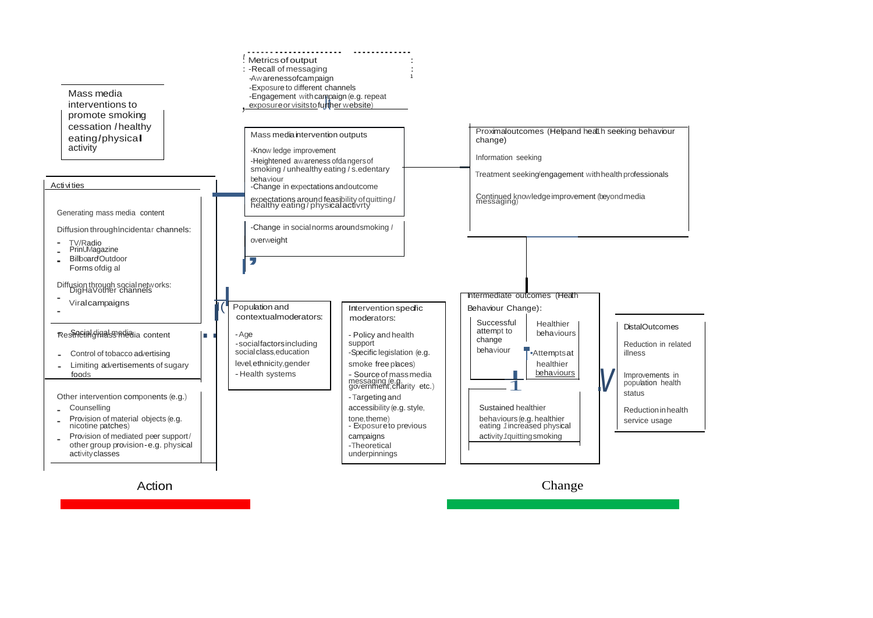